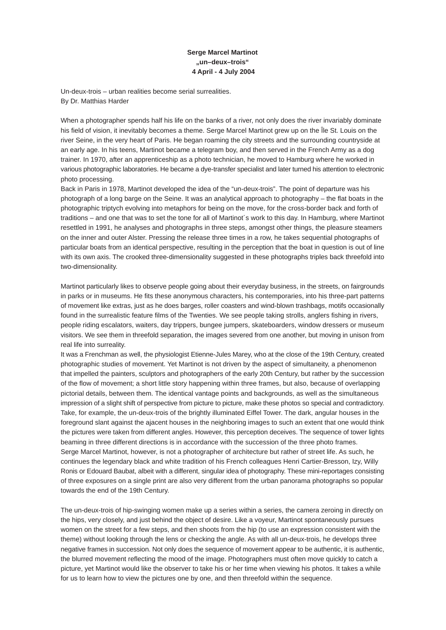## **Serge Marcel Martinot "un–deux–trois" 4 April - 4 July 2004**

Un-deux-trois – urban realities become serial surrealities. By Dr. Matthias Harder

When a photographer spends half his life on the banks of a river, not only does the river invariably dominate his field of vision, it inevitably becomes a theme. Serge Marcel Martinot grew up on the Île St. Louis on the river Seine, in the very heart of Paris. He began roaming the city streets and the surrounding countryside at an early age. In his teens, Martinot became a telegram boy, and then served in the French Army as a dog trainer. In 1970, after an apprenticeship as a photo technician, he moved to Hamburg where he worked in various photographic laboratories. He became a dye-transfer specialist and later turned his attention to electronic photo processing.

Back in Paris in 1978, Martinot developed the idea of the "un-deux-trois". The point of departure was his photograph of a long barge on the Seine. It was an analytical approach to photography – the flat boats in the photographic triptych evolving into metaphors for being on the move, for the cross-border back and forth of traditions – and one that was to set the tone for all of Martinot´s work to this day. In Hamburg, where Martinot resettled in 1991, he analyses and photographs in three steps, amongst other things, the pleasure steamers on the inner and outer Alster. Pressing the release three times in a row, he takes sequential photographs of particular boats from an identical perspective, resulting in the perception that the boat in question is out of line with its own axis. The crooked three-dimensionality suggested in these photographs triples back threefold into two-dimensionality.

Martinot particularly likes to observe people going about their everyday business, in the streets, on fairgrounds in parks or in museums. He fits these anonymous characters, his contemporaries, into his three-part patterns of movement like extras, just as he does barges, roller coasters and wind-blown trashbags, motifs occasionally found in the surrealistic feature films of the Twenties. We see people taking strolls, anglers fishing in rivers, people riding escalators, waiters, day trippers, bungee jumpers, skateboarders, window dressers or museum visitors. We see them in threefold separation, the images severed from one another, but moving in unison from real life into surreality.

It was a Frenchman as well, the physiologist Etienne-Jules Marey, who at the close of the 19th Century, created photographic studies of movement. Yet Martinot is not driven by the aspect of simultaneity, a phenomenon that impelled the painters, sculptors and photographers of the early 20th Century, but rather by the succession of the flow of movement; a short little story happening within three frames, but also, because of overlapping pictorial details, between them. The identical vantage points and backgrounds, as well as the simultaneous impression of a slight shift of perspective from picture to picture, make these photos so special and contradictory. Take, for example, the un-deux-trois of the brightly illuminated Eiffel Tower. The dark, angular houses in the foreground slant against the ajacent houses in the neighboring images to such an extent that one would think the pictures were taken from different angles. However, this perception deceives. The sequence of tower lights beaming in three different directions is in accordance with the succession of the three photo frames. Serge Marcel Martinot, however, is not a photographer of architecture but rather of street life. As such, he continues the legendary black and white tradition of his French colleagues Henri Cartier-Bresson, Izy, Willy Ronis or Edouard Baubat, albeit with a different, singular idea of photography. These mini-reportages consisting of three exposures on a single print are also very different from the urban panorama photographs so popular towards the end of the 19th Century.

The un-deux-trois of hip-swinging women make up a series within a series, the camera zeroing in directly on the hips, very closely, and just behind the object of desire. Like a voyeur, Martinot spontaneously pursues women on the street for a few steps, and then shoots from the hip (to use an expression consistent with the theme) without looking through the lens or checking the angle. As with all un-deux-trois, he develops three negative frames in succession. Not only does the sequence of movement appear to be authentic, it is authentic, the blurred movement reflecting the mood of the image. Photographers must often move quickly to catch a picture, yet Martinot would like the observer to take his or her time when viewing his photos. It takes a while for us to learn how to view the pictures one by one, and then threefold within the sequence.